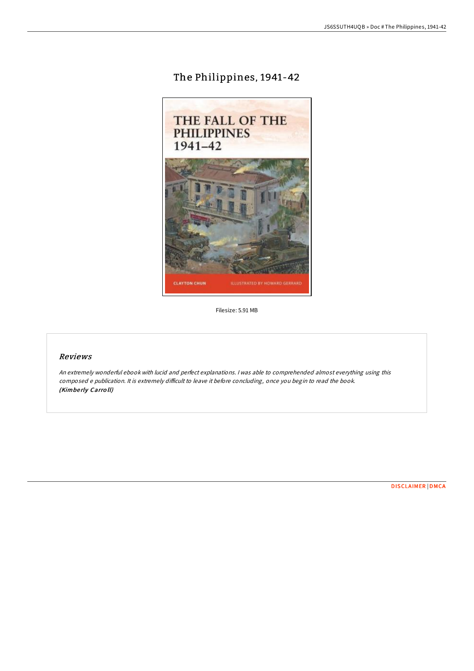# The Philippines, 1941-42



Filesize: 5.91 MB

## Reviews

An extremely wonderful ebook with lucid and perfect explanations. <sup>I</sup> was able to comprehended almost everything using this composed e publication. It is extremely difficult to leave it before concluding, once you begin to read the book. (Kimberly Carroll)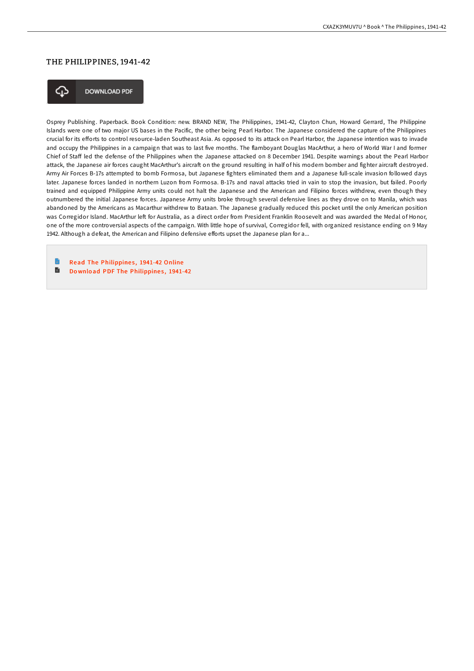### THE PHILIPPINES, 1941-42



**DOWNLOAD PDF** 

Osprey Publishing. Paperback. Book Condition: new. BRAND NEW, The Philippines, 1941-42, Clayton Chun, Howard Gerrard, The Philippine Islands were one of two major US bases in the Pacific, the other being Pearl Harbor. The Japanese considered the capture of the Philippines crucial for its efforts to control resource-laden Southeast Asia. As opposed to its attack on Pearl Harbor, the Japanese intention was to invade and occupy the Philippines in a campaign that was to last five months. The flamboyant Douglas MacArthur, a hero of World War I and former Chief of Staff led the defense of the Philippines when the Japanese attacked on 8 December 1941. Despite warnings about the Pearl Harbor attack, the Japanese air forces caught MacArthur's aircraft on the ground resulting in half of his modern bomber and fighter aircraft destroyed. Army Air Forces B-17s attempted to bomb Formosa, but Japanese fighters eliminated them and a Japanese full-scale invasion followed days later. Japanese forces landed in northern Luzon from Formosa. B-17s and naval attacks tried in vain to stop the invasion, but failed. Poorly trained and equipped Philippine Army units could not halt the Japanese and the American and Filipino forces withdrew, even though they outnumbered the initial Japanese forces. Japanese Army units broke through several defensive lines as they drove on to Manila, which was abandoned by the Americans as Macarthur withdrew to Bataan. The Japanese gradually reduced this pocket until the only American position was Corregidor Island. MacArthur left for Australia, as a direct order from President Franklin Roosevelt and was awarded the Medal of Honor, one of the more controversial aspects of the campaign. With little hope of survival, Corregidor fell, with organized resistance ending on 9 May 1942. Although a defeat, the American and Filipino defensive efforts upset the Japanese plan for a...

Read The [Philippine](http://almighty24.tech/the-philippines-1941-42.html)s, 1941-42 Online B Do wnload PDF The [Philippine](http://almighty24.tech/the-philippines-1941-42.html)s, 1941-42